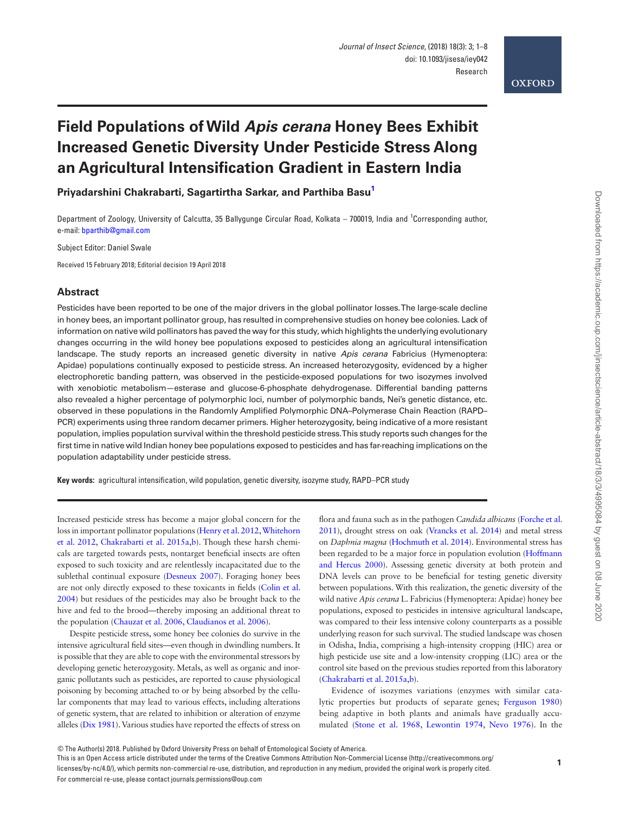# **OXFORD**

# **Field Populations of Wild** *Apis cerana* **Honey Bees Exhibit Increased Genetic Diversity Under Pesticide Stress Along an Agricultural Intensification Gradient in Eastern India**

**Priyadarshini Chakrabarti, Sagartirtha Sarkar, and Parthiba Bas[u1](#page-0-0)**

<span id="page-0-0"></span>Department of Zoology, University of Calcutta, 35 Ballygunge Circular Road, Kolkata - 700019, India and <sup>1</sup>Corresponding author, e-mail: [bparthib@gmail.com](mailto:bparthib@gmail.com?subject=)

Subject Editor: Daniel Swale

Received 15 February 2018; Editorial decision 19 April 2018

# **Abstract**

Pesticides have been reported to be one of the major drivers in the global pollinator losses. The large-scale decline in honey bees, an important pollinator group, has resulted in comprehensive studies on honey bee colonies. Lack of information on native wild pollinators has paved the way for this study, which highlights the underlying evolutionary changes occurring in the wild honey bee populations exposed to pesticides along an agricultural intensification landscape. The study reports an increased genetic diversity in native *Apis cerana* Fabricius (Hymenoptera: Apidae) populations continually exposed to pesticide stress. An increased heterozygosity, evidenced by a higher electrophoretic banding pattern, was observed in the pesticide-exposed populations for two isozymes involved with xenobiotic metabolism—esterase and glucose-6-phosphate dehydrogenase. Differential banding patterns also revealed a higher percentage of polymorphic loci, number of polymorphic bands, Nei's genetic distance, etc. observed in these populations in the Randomly Amplified Polymorphic DNA–Polymerase Chain Reaction (RAPD– PCR) experiments using three random decamer primers. Higher heterozygosity, being indicative of a more resistant population, implies population survival within the threshold pesticide stress. This study reports such changes for the first time in native wild Indian honey bee populations exposed to pesticides and has far-reaching implications on the population adaptability under pesticide stress.

**Key words:** agricultural intensification, wild population, genetic diversity, isozyme study, RAPD–PCR study

Increased pesticide stress has become a major global concern for the loss in important pollinator populations ([Henry et al. 2012](#page-6-0), [Whitehorn](#page-7-0) [et al. 2012](#page-7-0), [Chakrabarti et al. 2015a](#page-6-1)[,b\)](#page-6-2). Though these harsh chemicals are targeted towards pests, nontarget beneficial insects are often exposed to such toxicity and are relentlessly incapacitated due to the sublethal continual exposure [\(Desneux 2007\)](#page-6-3). Foraging honey bees are not only directly exposed to these toxicants in fields [\(Colin et al.](#page-6-4) [2004\)](#page-6-4) but residues of the pesticides may also be brought back to the hive and fed to the brood—thereby imposing an additional threat to the population [\(Chauzat et al. 2006,](#page-6-5) [Claudianos et al. 2006\)](#page-6-6).

Despite pesticide stress, some honey bee colonies do survive in the intensive agricultural field sites—even though in dwindling numbers. It is possible that they are able to cope with the environmental stressors by developing genetic heterozygosity. Metals, as well as organic and inorganic pollutants such as pesticides, are reported to cause physiological poisoning by becoming attached to or by being absorbed by the cellular components that may lead to various effects, including alterations of genetic system, that are related to inhibition or alteration of enzyme alleles [\(Dix 1981](#page-6-7)). Various studies have reported the effects of stress on

flora and fauna such as in the pathogen *Candida albicans* ([Forche et al.](#page-6-8) [2011](#page-6-8)), drought stress on oak ([Vrancks et al. 2014](#page-7-1)) and metal stress on *Daphnia magna* [\(Hochmuth et al. 2014](#page-6-9)). Environmental stress has been regarded to be a major force in population evolution ([Hoffmann](#page-6-10) [and Hercus 2000](#page-6-10)). Assessing genetic diversity at both protein and DNA levels can prove to be beneficial for testing genetic diversity between populations. With this realization, the genetic diversity of the wild native *Apis cerana* L. Fabricius (Hymenoptera: Apidae) honey bee populations, exposed to pesticides in intensive agricultural landscape, was compared to their less intensive colony counterparts as a possible underlying reason for such survival. The studied landscape was chosen in Odisha, India, comprising a high-intensity cropping (HIC) area or high pesticide use site and a low-intensity cropping (LIC) area or the control site based on the previous studies reported from this laboratory ([Chakrabarti et al. 2015a,](#page-6-1)[b](#page-6-2)).

Evidence of isozymes variations (enzymes with similar catalytic properties but products of separate genes; [Ferguson 1980](#page-6-11)) being adaptive in both plants and animals have gradually accumulated ([Stone et al. 1968](#page-7-2), [Lewontin 1974,](#page-7-3) [Nevo 1976\)](#page-7-4). In the

This is an Open Access article distributed under the terms of the Creative Commons Attribution Non-Commercial License (http://creativecommons.org/ licenses/by-nc/4.0/), which permits non-commercial re-use, distribution, and reproduction in any medium, provided the original work is properly cited. For commercial re-use, please contact journals.permissions@oup.com

<sup>©</sup> The Author(s) 2018. Published by Oxford University Press on behalf of Entomological Society of America.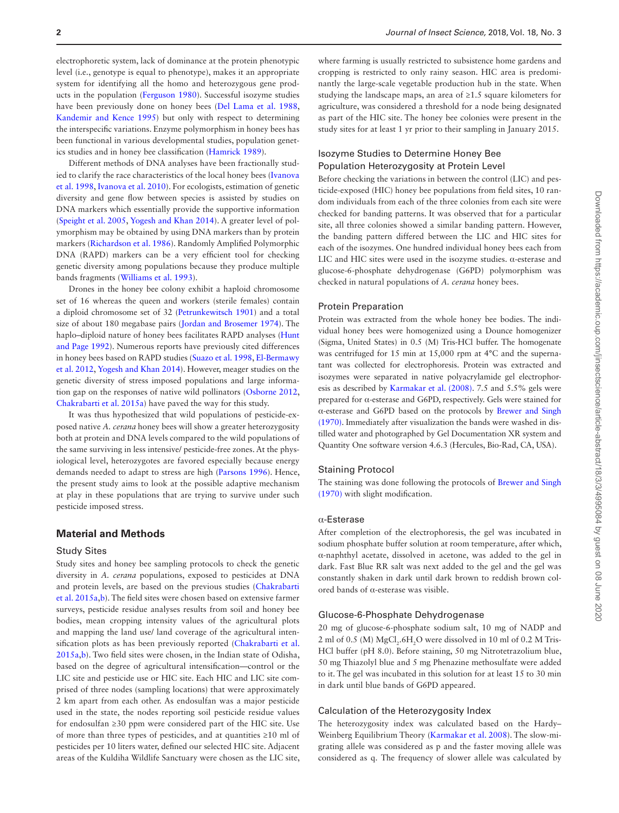electrophoretic system, lack of dominance at the protein phenotypic level (i.e., genotype is equal to phenotype), makes it an appropriate system for identifying all the homo and heterozygous gene products in the population [\(Ferguson 1980](#page-6-11)). Successful isozyme studies have been previously done on honey bees [\(Del Lama et al. 1988](#page-6-12), [Kandemir and Kence 1995](#page-7-5)) but only with respect to determining the interspecific variations. Enzyme polymorphism in honey bees has been functional in various developmental studies, population genetics studies and in honey bee classification ([Hamrick 1989\)](#page-6-13).

Different methods of DNA analyses have been fractionally studied to clarify the race characteristics of the local honey bees ([Ivanova](#page-7-6) [et al. 1998](#page-7-6), [Ivanova et al. 2010\)](#page-7-7). For ecologists, estimation of genetic diversity and gene flow between species is assisted by studies on DNA markers which essentially provide the supportive information ([Speight et al. 2005](#page-7-8), [Yogesh and Khan 2014](#page-7-9)). A greater level of polymorphism may be obtained by using DNA markers than by protein markers ([Richardson et al. 1986](#page-7-10)). Randomly Amplified Polymorphic DNA (RAPD) markers can be a very efficient tool for checking genetic diversity among populations because they produce multiple bands fragments ([Williams et al. 1993](#page-7-11)).

Drones in the honey bee colony exhibit a haploid chromosome set of 16 whereas the queen and workers (sterile females) contain a diploid chromosome set of 32 [\(Petrunkewitsch 1901](#page-7-12)) and a total size of about 180 megabase pairs [\(Jordan and Brosemer 1974](#page-7-13)). The haplo–diploid nature of honey bees facilitates RAPD analyses [\(Hunt](#page-6-14) [and Page 1992](#page-6-14)). Numerous reports have previously cited differences in honey bees based on RAPD studies [\(Suazo et al. 1998,](#page-7-14) [El-Bermawy](#page-6-15) [et al. 2012](#page-6-15), [Yogesh and Khan 2014\)](#page-7-9). However, meager studies on the genetic diversity of stress imposed populations and large information gap on the responses of native wild pollinators ([Osborne 2012](#page-7-15), [Chakrabarti et al. 2015a](#page-6-2)) have paved the way for this study.

It was thus hypothesized that wild populations of pesticide-exposed native *A. cerana* honey bees will show a greater heterozygosity both at protein and DNA levels compared to the wild populations of the same surviving in less intensive/ pesticide-free zones. At the physiological level, heterozygotes are favored especially because energy demands needed to adapt to stress are high [\(Parsons 1996](#page-7-16)). Hence, the present study aims to look at the possible adaptive mechanism at play in these populations that are trying to survive under such pesticide imposed stress.

## **Material and Methods**

#### Study Sites

Study sites and honey bee sampling protocols to check the genetic diversity in *A. cerana* populations, exposed to pesticides at DNA and protein levels, are based on the previous studies ([Chakrabarti](#page-6-1) [et al. 2015a](#page-6-1)[,b\)](#page-6-2). The field sites were chosen based on extensive farmer surveys, pesticide residue analyses results from soil and honey bee bodies, mean cropping intensity values of the agricultural plots and mapping the land use/ land coverage of the agricultural intensification plots as has been previously reported ([Chakrabarti et al.](#page-6-1) [2015a](#page-6-1)[,b\)](#page-6-2). Two field sites were chosen, in the Indian state of Odisha, based on the degree of agricultural intensification—control or the LIC site and pesticide use or HIC site. Each HIC and LIC site comprised of three nodes (sampling locations) that were approximately 2 km apart from each other. As endosulfan was a major pesticide used in the state, the nodes reporting soil pesticide residue values for endosulfan ≥30 ppm were considered part of the HIC site. Use of more than three types of pesticides, and at quantities ≥10 ml of pesticides per 10 liters water, defined our selected HIC site. Adjacent areas of the Kuldiha Wildlife Sanctuary were chosen as the LIC site, where farming is usually restricted to subsistence home gardens and cropping is restricted to only rainy season. HIC area is predominantly the large-scale vegetable production hub in the state. When studying the landscape maps, an area of ≥1.5 square kilometers for agriculture, was considered a threshold for a node being designated as part of the HIC site. The honey bee colonies were present in the study sites for at least 1 yr prior to their sampling in January 2015.

# Isozyme Studies to Determine Honey Bee Population Heterozygosity at Protein Level

Before checking the variations in between the control (LIC) and pesticide-exposed (HIC) honey bee populations from field sites, 10 random individuals from each of the three colonies from each site were checked for banding patterns. It was observed that for a particular site, all three colonies showed a similar banding pattern. However, the banding pattern differed between the LIC and HIC sites for each of the isozymes. One hundred individual honey bees each from LIC and HIC sites were used in the isozyme studies. α-esterase and glucose-6-phosphate dehydrogenase (G6PD) polymorphism was checked in natural populations of *A. cerana* honey bees.

## Protein Preparation

Protein was extracted from the whole honey bee bodies. The individual honey bees were homogenized using a Dounce homogenizer (Sigma, United States) in 0.5 (M) Tris-HCl buffer. The homogenate was centrifuged for 15 min at 15,000 rpm at 4°C and the supernatant was collected for electrophoresis. Protein was extracted and isozymes were separated in native polyacrylamide gel electrophoresis as described by [Karmakar et al. \(2008\)](#page-7-17). 7.5 and 5.5% gels were prepared for α-esterase and G6PD, respectively. Gels were stained for α-esterase and G6PD based on the protocols by [Brewer and Singh](#page-6-16) [\(1970\).](#page-6-16) Immediately after visualization the bands were washed in distilled water and photographed by Gel Documentation XR system and Quantity One software version 4.6.3 (Hercules, Bio-Rad, CA, USA).

# Staining Protocol

The staining was done following the protocols of [Brewer and Singh](#page-6-16) [\(1970\)](#page-6-16) with slight modification.

## α-Esterase

After completion of the electrophoresis, the gel was incubated in sodium phosphate buffer solution at room temperature, after which, α-naphthyl acetate, dissolved in acetone, was added to the gel in dark. Fast Blue RR salt was next added to the gel and the gel was constantly shaken in dark until dark brown to reddish brown colored bands of α-esterase was visible.

## Glucose-6-Phosphate Dehydrogenase

20 mg of glucose-6-phosphate sodium salt, 10 mg of NADP and 2 ml of 0.5 (M)  $MgCl<sub>2</sub>$ .6H<sub>2</sub>O were dissolved in 10 ml of 0.2 M Tris-HCl buffer (pH 8.0). Before staining, 50 mg Nitrotetrazolium blue, 50 mg Thiazolyl blue and 5 mg Phenazine methosulfate were added to it. The gel was incubated in this solution for at least 15 to 30 min in dark until blue bands of G6PD appeared.

#### Calculation of the Heterozygosity Index

The heterozygosity index was calculated based on the Hardy– Weinberg Equilibrium Theory [\(Karmakar et al. 2008\)](#page-7-17). The slow-migrating allele was considered as p and the faster moving allele was considered as q. The frequency of slower allele was calculated by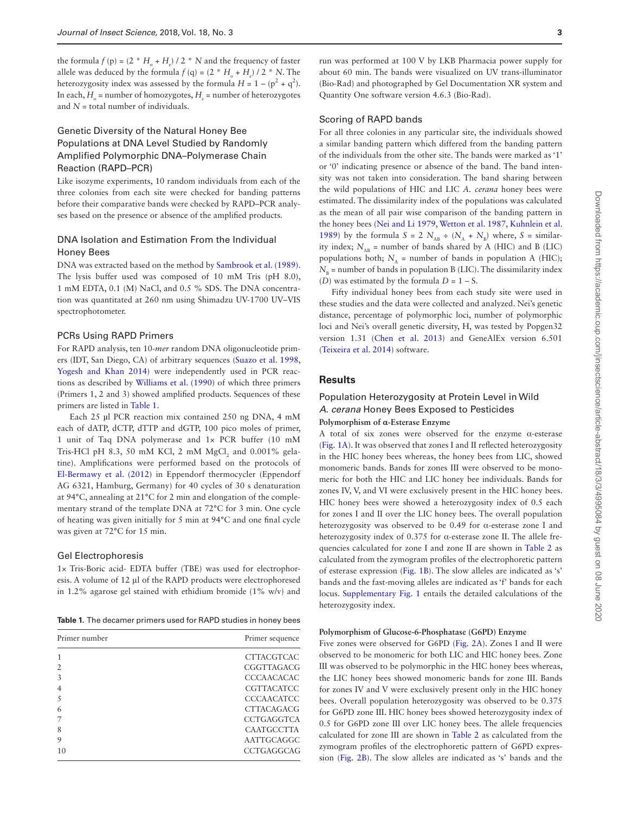the formula  $f(p) = (2 * H_o + H_e) / 2 * N$  and the frequency of faster allele was deduced by the formula  $f(q) = (2 * H_o + H_e) / 2 * N$ . The heterozygosity index was assessed by the formula  $H = 1 - (p^2 + q^2)$ . In each,  $H_{\circ}$  = number of homozygotes,  $H_{\rm e}$  = number of heterozygotes and  $N =$  total number of individuals.

# Genetic Diversity of the Natural Honey Bee Populations at DNA Level Studied by Randomly Amplified Polymorphic DNA–Polymerase Chain Reaction (RAPD–PCR)

Like isozyme experiments, 10 random individuals from each of the three colonies from each site were checked for banding patterns before their comparative bands were checked by RAPD–PCR analyses based on the presence or absence of the amplified products.

# DNA Isolation and Estimation From the Individual Honey Bees

DNA was extracted based on the method by [Sambrook et al. \(1989\)](#page-7-18). The lysis buffer used was composed of 10 mM Tris (pH 8.0), 1 mM EDTA, 0.1 (M) NaCl, and 0.5 % SDS. The DNA concentration was quantitated at 260 nm using Shimadzu UV-1700 UV–VIS spectrophotometer.

#### PCRs Using RAPD Primers

For RAPD analysis, ten 10-*mer* random DNA oligonucleotide primers (IDT, San Diego, CA) of arbitrary sequences ([Suazo et al. 1998](#page-7-14), [Yogesh and Khan 2014\)](#page-7-9) were independently used in PCR reactions as described by [Williams et al. \(1990\)](#page-7-19) of which three primers (Primers 1, 2 and 3) showed amplified products. Sequences of these primers are listed in [Table 1.](#page-2-0)

Each 25 µl PCR reaction mix contained 250 ng DNA, 4 mM each of dATP, dCTP, dTTP and dGTP, 100 pico moles of primer, 1 unit of Taq DNA polymerase and 1× PCR buffer (10 mM Tris-HCl pH 8.3, 50 mM KCl, 2 mM  $MgCl<sub>2</sub>$  and 0.001% gelatine). Amplifications were performed based on the protocols of [El-Bermawy et al. \(2012\)](#page-6-15) in Eppendorf thermocycler (Eppendorf AG 6321, Hamburg, Germany) for 40 cycles of 30 s denaturation at 94°C, annealing at 21°C for 2 min and elongation of the complementary strand of the template DNA at 72°C for 3 min. One cycle of heating was given initially for 5 min at 94°C and one final cycle was given at 72°C for 15 min.

#### Gel Electrophoresis

1× Tris-Boric acid- EDTA buffer (TBE) was used for electrophoresis. A volume of 12 μl of the RAPD products were electrophoresed in 1.2% agarose gel stained with ethidium bromide (1% w/v) and

<span id="page-2-0"></span>**Table 1.** The decamer primers used for RAPD studies in honey bees

| Primer number  | Primer sequence   |  |  |
|----------------|-------------------|--|--|
|                | <b>CTTACGTCAC</b> |  |  |
| $\mathfrak{D}$ | CGGTTAGACG        |  |  |
| 3              | <b>CCCAACACAC</b> |  |  |
|                | <b>CGTTACATCC</b> |  |  |
|                | <b>CCCAACATCC</b> |  |  |
| 6              | <b>CTTACAGACG</b> |  |  |
|                | <b>CCTGAGGTCA</b> |  |  |
| 8              | <b>CAATGCCTTA</b> |  |  |
| 9              | AATTGCAGGC        |  |  |
| 10             | <b>CCTGAGGCAG</b> |  |  |

run was performed at 100 V by LKB Pharmacia power supply for about 60 min. The bands were visualized on UV trans-illuminator (Bio-Rad) and photographed by Gel Documentation XR system and Quantity One software version 4.6.3 (Bio-Rad).

## Scoring of RAPD bands

For all three colonies in any particular site, the individuals showed a similar banding pattern which differed from the banding pattern of the individuals from the other site. The bands were marked as '1' or '0' indicating presence or absence of the band. The band intensity was not taken into consideration. The band sharing between the wild populations of HIC and LIC *A. cerana* honey bees were estimated. The dissimilarity index of the populations was calculated as the mean of all pair wise comparison of the banding pattern in the honey bees [\(Nei and Li 1979](#page-7-20), [Wetton et al. 1987,](#page-7-21) [Kuhnlein et al.](#page-7-22) [1989\)](#page-7-22) by the formula  $S = 2 N_{AP}$  ÷  $(N_A + N_B)$  where,  $S =$  similarity index;  $N_{AB}$  = number of bands shared by A (HIC) and B (LIC) populations both;  $N_A$  = number of bands in population A (HIC);  $N<sub>B</sub>$  = number of bands in population B (LIC). The dissimilarity index (*D*) was estimated by the formula  $D = 1 - S$ .

Fifty individual honey bees from each study site were used in these studies and the data were collected and analyzed. Nei's genetic distance, percentage of polymorphic loci, number of polymorphic loci and Nei's overall genetic diversity, H, was tested by Popgen32 version 1.31 [\(Chen et al. 2013\)](#page-6-17) and GeneAlEx version 6.501 ([Teixeira et al. 2014](#page-7-23)) software.

# **Results**

# Population Heterozygosity at Protein Level in Wild *A. cerana* Honey Bees Exposed to Pesticides **Polymorphism of α-Esterase Enzyme**

A total of six zones were observed for the enzyme α-esterase ([Fig. 1A\)](#page-3-0). It was observed that zones I and II reflected heterozygosity in the HIC honey bees whereas, the honey bees from LIC, showed monomeric bands. Bands for zones III were observed to be monomeric for both the HIC and LIC honey bee individuals. Bands for zones IV, V, and VI were exclusively present in the HIC honey bees. HIC honey bees were showed a heterozygosity index of 0.5 each for zones I and II over the LIC honey bees. The overall population heterozygosity was observed to be 0.49 for α-esterase zone I and heterozygosity index of 0.375 for α-esterase zone II. The allele frequencies calculated for zone I and zone II are shown in [Table 2](#page-3-1) as calculated from the zymogram profiles of the electrophoretic pattern of esterase expression ([Fig. 1B](#page-3-0)). The slow alleles are indicated as 's' bands and the fast-moving alleles are indicated as 'f' bands for each locus. [Supplementary Fig. 1](http://academic.oup.com/jinsectscience/article-lookup/doi/10.1093/jisesa/iey042#supplementary-data) entails the detailed calculations of the heterozygosity index.

## **Polymorphism of Glucose-6-Phosphatase (G6PD) Enzyme**

Five zones were observed for G6PD [\(Fig. 2A](#page-3-2)). Zones I and II were observed to be monomeric for both LIC and HIC honey bees. Zone III was observed to be polymorphic in the HIC honey bees whereas, the LIC honey bees showed monomeric bands for zone III. Bands for zones IV and V were exclusively present only in the HIC honey bees. Overall population heterozygosity was observed to be 0.375 for G6PD zone III. HIC honey bees showed heterozygosity index of 0.5 for G6PD zone III over LIC honey bees. The allele frequencies calculated for zone III are shown in [Table 2](#page-3-1) as calculated from the zymogram profiles of the electrophoretic pattern of G6PD expression [\(Fig. 2B\)](#page-3-2). The slow alleles are indicated as 's' bands and the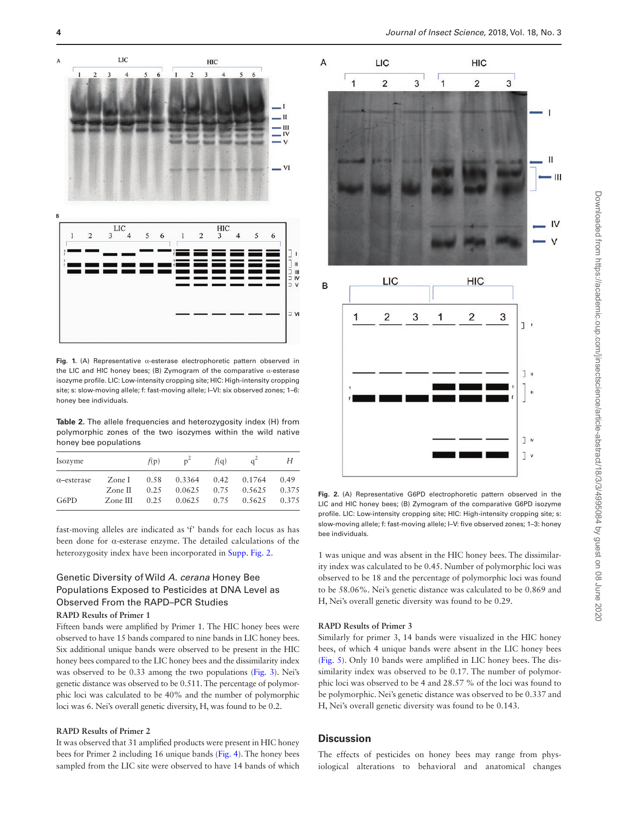

<span id="page-3-0"></span>**Fig. 1.** (A) Representative α-esterase electrophoretic pattern observed in the LIC and HIC honey bees; (B) Zymogram of the comparative  $\alpha$ -esterase isozyme profile. LIC: Low-intensity cropping site; HIC: High-intensity cropping site; s: slow-moving allele; f: fast-moving allele; I–VI: six observed zones; 1–6: honey bee individuals.

<span id="page-3-1"></span>**Table 2.** The allele frequencies and heterozygosity index (H) from polymorphic zones of the two isozymes within the wild native honey bee populations

| Isozyme            |                     | f(p)         |                  | f(q)         |                  | Н              |
|--------------------|---------------------|--------------|------------------|--------------|------------------|----------------|
| $\alpha$ -esterase | Zone I              | 0.58         | 0.3364           | 0.42         | 0.1764           | 0.49           |
| G6PD               | Zone II<br>Zone III | 0.25<br>0.25 | 0.0625<br>0.0625 | 0.75<br>0.75 | 0.5625<br>0.5625 | 0.375<br>0.375 |

fast-moving alleles are indicated as 'f' bands for each locus as has been done for α-esterase enzyme. The detailed calculations of the heterozygosity index have been incorporated in [Supp. Fig. 2.](http://academic.oup.com/jinsectscience/article-lookup/doi/10.1093/jisesa/iey042#supplementary-data)

# Genetic Diversity of Wild *A. cerana* Honey Bee Populations Exposed to Pesticides at DNA Level as Observed From the RAPD–PCR Studies

## **RAPD Results of Primer 1**

Fifteen bands were amplified by Primer 1. The HIC honey bees were observed to have 15 bands compared to nine bands in LIC honey bees. Six additional unique bands were observed to be present in the HIC honey bees compared to the LIC honey bees and the dissimilarity index was observed to be 0.33 among the two populations [\(Fig. 3\)](#page-4-0). Nei's genetic distance was observed to be 0.511. The percentage of polymorphic loci was calculated to be 40% and the number of polymorphic loci was 6. Nei's overall genetic diversity, H, was found to be 0.2.

## **RAPD Results of Primer 2**

It was observed that 31 amplified products were present in HIC honey bees for Primer 2 including 16 unique bands ([Fig. 4](#page-5-0)). The honey bees sampled from the LIC site were observed to have 14 bands of which



<span id="page-3-2"></span>**Fig. 2.** (A) Representative G6PD electrophoretic pattern observed in the LIC and HIC honey bees; (B) Zymogram of the comparative G6PD isozyme profile. LIC: Low-intensity cropping site; HIC: High-intensity cropping site; s: slow-moving allele; f: fast-moving allele; I–V: five observed zones; 1–3: honey bee individuals.

1 was unique and was absent in the HIC honey bees. The dissimilarity index was calculated to be 0.45. Number of polymorphic loci was observed to be 18 and the percentage of polymorphic loci was found to be 58.06%. Nei's genetic distance was calculated to be 0.869 and H, Nei's overall genetic diversity was found to be 0.29.

## **RAPD Results of Primer 3**

Similarly for primer 3, 14 bands were visualized in the HIC honey bees, of which 4 unique bands were absent in the LIC honey bees ([Fig. 5\)](#page-5-1). Only 10 bands were amplified in LIC honey bees. The dissimilarity index was observed to be 0.17. The number of polymorphic loci was observed to be 4 and 28.57 % of the loci was found to be polymorphic. Nei's genetic distance was observed to be 0.337 and H, Nei's overall genetic diversity was found to be 0.143.

## **Discussion**

The effects of pesticides on honey bees may range from physiological alterations to behavioral and anatomical changes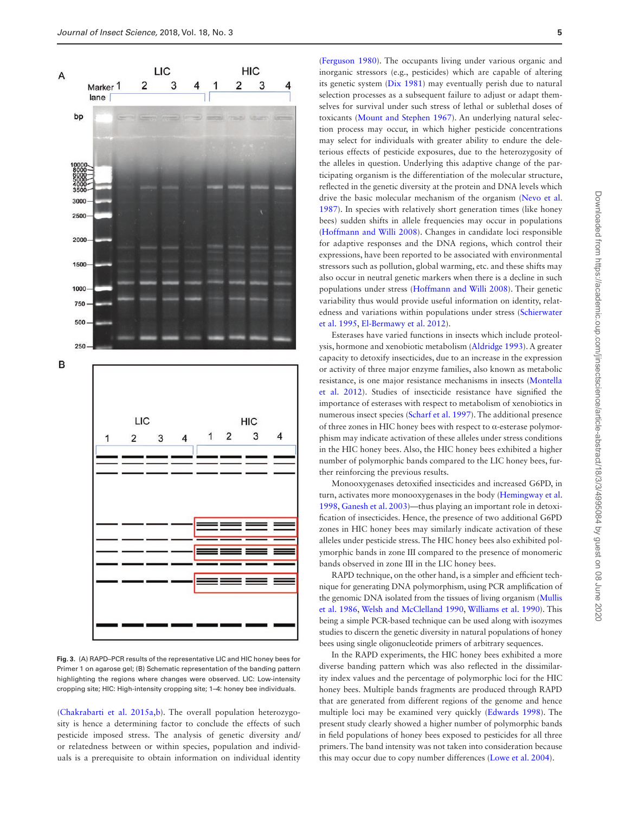

<span id="page-4-0"></span>**Fig. 3.** (A) RAPD–PCR results of the representative LIC and HIC honey bees for Primer 1 on agarose gel; (B) Schematic representation of the banding pattern highlighting the regions where changes were observed. LIC: Low-intensity cropping site; HIC: High-intensity cropping site; 1–4: honey bee individuals.

([Chakrabarti et al. 2015a,](#page-6-1)[b](#page-6-2)). The overall population heterozygosity is hence a determining factor to conclude the effects of such pesticide imposed stress. The analysis of genetic diversity and/ or relatedness between or within species, population and individuals is a prerequisite to obtain information on individual identity

([Ferguson 1980](#page-6-11)). The occupants living under various organic and inorganic stressors (e.g., pesticides) which are capable of altering its genetic system [\(Dix 1981\)](#page-6-7) may eventually perish due to natural selection processes as a subsequent failure to adjust or adapt themselves for survival under such stress of lethal or sublethal doses of toxicants [\(Mount and Stephen 1967\)](#page-7-24). An underlying natural selection process may occur, in which higher pesticide concentrations may select for individuals with greater ability to endure the deleterious effects of pesticide exposures, due to the heterozygosity of the alleles in question. Underlying this adaptive change of the participating organism is the differentiation of the molecular structure, reflected in the genetic diversity at the protein and DNA levels which drive the basic molecular mechanism of the organism ([Nevo et al.](#page-7-25) [1987\)](#page-7-25). In species with relatively short generation times (like honey bees) sudden shifts in allele frequencies may occur in populations ([Hoffmann and Willi 2008\)](#page-6-18). Changes in candidate loci responsible for adaptive responses and the DNA regions, which control their expressions, have been reported to be associated with environmental stressors such as pollution, global warming, etc. and these shifts may also occur in neutral genetic markers when there is a decline in such populations under stress [\(Hoffmann and Willi 2008\)](#page-6-18). Their genetic variability thus would provide useful information on identity, relatedness and variations within populations under stress ([Schierwater](#page-7-26) [et al. 1995,](#page-7-26) [El-Bermawy et al. 2012\)](#page-6-15).

Esterases have varied functions in insects which include proteolysis, hormone and xenobiotic metabolism ([Aldridge 1993](#page-6-19)). A greater capacity to detoxify insecticides, due to an increase in the expression or activity of three major enzyme families, also known as metabolic resistance, is one major resistance mechanisms in insects ([Montella](#page-7-27) [et al. 2012\)](#page-7-27). Studies of insecticide resistance have signified the importance of esterases with respect to metabolism of xenobiotics in numerous insect species [\(Scharf et al. 1997](#page-7-28)). The additional presence of three zones in HIC honey bees with respect to α-esterase polymorphism may indicate activation of these alleles under stress conditions in the HIC honey bees. Also, the HIC honey bees exhibited a higher number of polymorphic bands compared to the LIC honey bees, further reinforcing the previous results.

Monooxygenases detoxified insecticides and increased G6PD, in turn, activates more monooxygenases in the body [\(Hemingway et al.](#page-6-20) [1998,](#page-6-20) [Ganesh et al. 2003\)](#page-6-21)—thus playing an important role in detoxification of insecticides. Hence, the presence of two additional G6PD zones in HIC honey bees may similarly indicate activation of these alleles under pesticide stress. The HIC honey bees also exhibited polymorphic bands in zone III compared to the presence of monomeric bands observed in zone III in the LIC honey bees.

RAPD technique, on the other hand, is a simpler and efficient technique for generating DNA polymorphism, using PCR amplification of the genomic DNA isolated from the tissues of living organism [\(Mullis](#page-7-29) [et al. 1986,](#page-7-29) [Welsh and McClelland 1990](#page-7-30), [Williams et al. 1990](#page-7-19)). This being a simple PCR-based technique can be used along with isozymes studies to discern the genetic diversity in natural populations of honey bees using single oligonucleotide primers of arbitrary sequences.

In the RAPD experiments, the HIC honey bees exhibited a more diverse banding pattern which was also reflected in the dissimilarity index values and the percentage of polymorphic loci for the HIC honey bees. Multiple bands fragments are produced through RAPD that are generated from different regions of the genome and hence multiple loci may be examined very quickly [\(Edwards 1998](#page-6-22)). The present study clearly showed a higher number of polymorphic bands in field populations of honey bees exposed to pesticides for all three primers. The band intensity was not taken into consideration because this may occur due to copy number differences [\(Lowe et al. 2004\)](#page-7-31).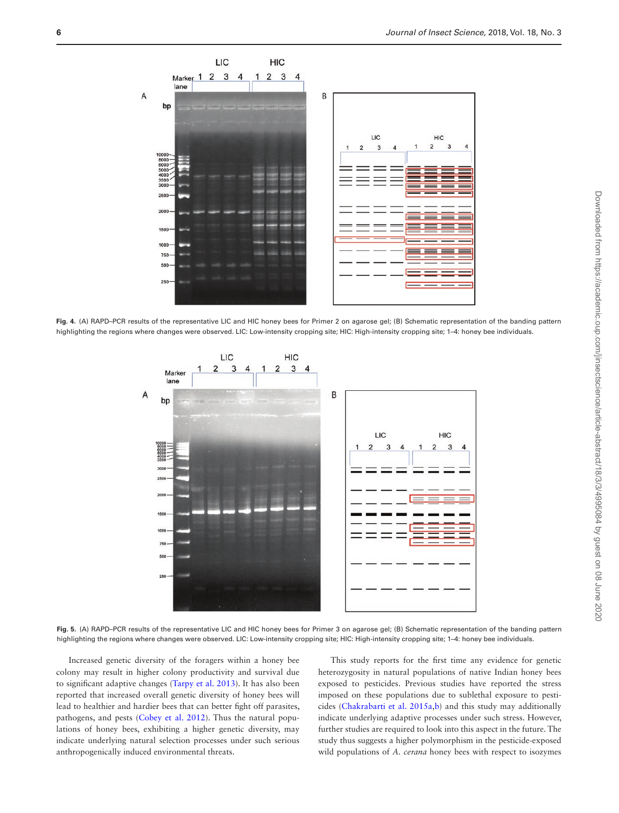

Fig. 4. (A) RAPD–PCR results of the representative LIC and HIC honey bees for Primer 2 on agarose gel; (B) Schematic representation of the banding pattern highlighting the regions where changes were observed. LIC: Low-intensity cropping site; HIC: High-intensity cropping site; 1-4: honey bee individuals.

<span id="page-5-0"></span>

**Fig. 5.** (A) RAPD–PCR results of the representative LIC and HIC honey bees for Primer 3 on agarose gel; (B) Schematic representation of the banding pattern highlighting the regions where changes were observed. LIC: Low-intensity cropping site; HIC: High-intensity cropping site; 1-4: honey bee individuals.

Increased genetic diversity of the foragers within a honey bee colony may result in higher colony productivity and survival due to significant adaptive changes [\(Tarpy et al. 2013](#page-7-32)). It has also been reported that increased overall genetic diversity of honey bees will lead to healthier and hardier bees that can better fight off parasites, pathogens, and pests [\(Cobey et al. 2012\)](#page-6-23). Thus the natural populations of honey bees, exhibiting a higher genetic diversity, may indicate underlying natural selection processes under such serious anthropogenically induced environmental threats.

<span id="page-5-1"></span>This study reports for the first time any evidence for genetic heterozygosity in natural populations of native Indian honey bees exposed to pesticides. Previous studies have reported the stress imposed on these populations due to sublethal exposure to pesticides ([Chakrabarti et al. 2015a](#page-6-1)[,b\)](#page-6-2) and this study may additionally indicate underlying adaptive processes under such stress. However, further studies are required to look into this aspect in the future. The study thus suggests a higher polymorphism in the pesticide-exposed wild populations of *A. cerana* honey bees with respect to isozymes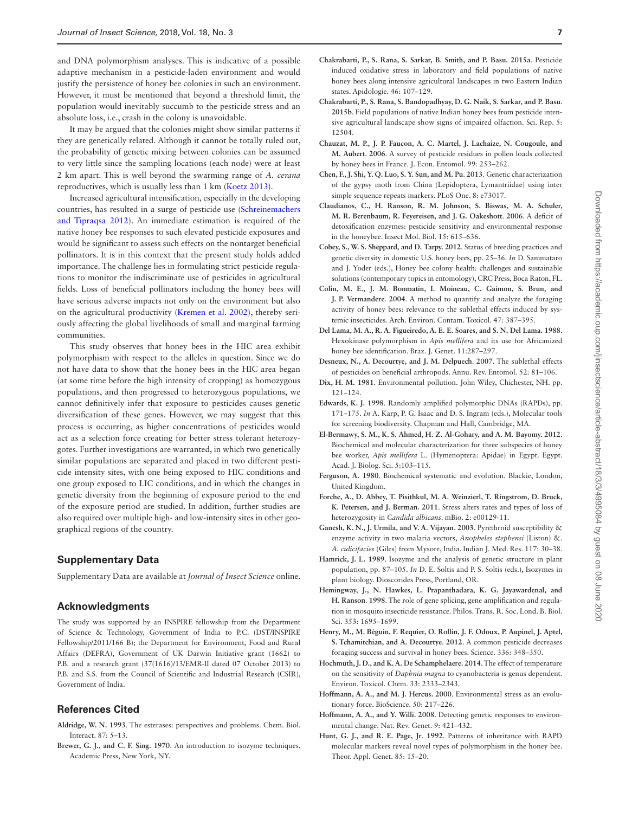and DNA polymorphism analyses. This is indicative of a possible adaptive mechanism in a pesticide-laden environment and would justify the persistence of honey bee colonies in such an environment. However, it must be mentioned that beyond a threshold limit, the population would inevitably succumb to the pesticide stress and an absolute loss, i.e., crash in the colony is unavoidable.

It may be argued that the colonies might show similar patterns if they are genetically related. Although it cannot be totally ruled out, the probability of genetic mixing between colonies can be assumed to very little since the sampling locations (each node) were at least 2 km apart. This is well beyond the swarming range of *A. cerana* reproductives, which is usually less than 1 km ([Koetz 2013\)](#page-7-33).

Increased agricultural intensification, especially in the developing countries, has resulted in a surge of pesticide use ([Schreinemachers](#page-7-34) [and Tipraqsa 2012\)](#page-7-34). An immediate estimation is required of the native honey bee responses to such elevated pesticide exposures and would be significant to assess such effects on the nontarget beneficial pollinators. It is in this context that the present study holds added importance. The challenge lies in formulating strict pesticide regulations to monitor the indiscriminate use of pesticides in agricultural fields. Loss of beneficial pollinators including the honey bees will have serious adverse impacts not only on the environment but also on the agricultural productivity ([Kremen et al. 2002](#page-7-35)), thereby seriously affecting the global livelihoods of small and marginal farming communities.

This study observes that honey bees in the HIC area exhibit polymorphism with respect to the alleles in question. Since we do not have data to show that the honey bees in the HIC area began (at some time before the high intensity of cropping) as homozygous populations, and then progressed to heterozygous populations, we cannot definitively infer that exposure to pesticides causes genetic diversification of these genes. However, we may suggest that this process is occurring, as higher concentrations of pesticides would act as a selection force creating for better stress tolerant heterozygotes. Further investigations are warranted, in which two genetically similar populations are separated and placed in two different pesticide intensity sites, with one being exposed to HIC conditions and one group exposed to LIC conditions, and in which the changes in genetic diversity from the beginning of exposure period to the end of the exposure period are studied. In addition, further studies are also required over multiple high- and low-intensity sites in other geographical regions of the country.

## **Supplementary Data**

Supplementary Data are available at *Journal of Insect Science* online.

## **Acknowledgments**

The study was supported by an INSPIRE fellowship from the Department of Science & Technology, Government of India to P.C. (DST/INSPIRE Fellowship/2011/166 B); the Department for Environment, Food and Rural Affairs (DEFRA), Government of UK Darwin Initiative grant (1662) to P.B. and a research grant (37(1616)/13/EMR-II dated 07 October 2013) to P.B. and S.S. from the Council of Scientific and Industrial Research (CSIR), Government of India.

# **References Cited**

- <span id="page-6-19"></span>**Aldridge, W. N. 1993**. The esterases: perspectives and problems. Chem. Biol. Interact. 87: 5–13.
- <span id="page-6-16"></span>**Brewer, G. J., and C. F. Sing. 1970**. An introduction to isozyme techniques. Academic Press, New York, NY.
- <span id="page-6-2"></span>**Chakrabarti, P., S. Rana, S. Sarkar, B. Smith, and P. Basu. 2015a**. Pesticide induced oxidative stress in laboratory and field populations of native honey bees along intensive agricultural landscapes in two Eastern Indian states. Apidologie. 46: 107–129.
- <span id="page-6-1"></span>**Chakrabarti, P., S. Rana, S. Bandopadhyay, D. G. Naik, S. Sarkar, and P. Basu**. **2015b**. Field populations of native Indian honey bees from pesticide intensive agricultural landscape show signs of impaired olfaction. Sci. Rep. 5: 12504.
- <span id="page-6-5"></span>**Chauzat, M. P., J. P. Faucon, A. C. Martel, J. Lachaize, N. Cougoule, and M. Aubert**. **2006**. A survey of pesticide residues in pollen loads collected by honey bees in France. J. Econ. Entomol. 99: 253–262.
- <span id="page-6-17"></span>**Chen, F., J. Shi, Y. Q. Luo, S. Y. Sun, and M. Pu**. **2013**. Genetic characterization of the gypsy moth from China (Lepidoptera, Lymantriidae) using inter simple sequence repeats markers. PLoS One. 8: e73017.
- <span id="page-6-6"></span>**Claudianos, C., H. Ranson, R. M. Johnson, S. Biswas, M. A. Schuler, M. R. Berenbaum, R. Feyereisen, and J. G. Oakeshott**. **2006**. A deficit of detoxification enzymes: pesticide sensitivity and environmental response in the honeybee. Insect Mol. Biol. 15: 615–636.
- <span id="page-6-23"></span>**Cobey, S., W. S. Sheppard, and D. Tarpy. 2012**. Status of breeding practices and genetic diversity in domestic U.S. honey bees, pp. 25–36. *In* D. Sammataro and J. Yoder (eds.), Honey bee colony health: challenges and sustainable solutions (contemporary topics in entomology), CRC Press, Boca Raton, FL.
- <span id="page-6-4"></span>**Colin, M. E., J. M. Bonmatin, I. Moineau, C. Gaimon, S. Brun, and J. P. Vermandere**. **2004**. A method to quantify and analyze the foraging activity of honey bees: relevance to the sublethal effects induced by systemic insecticides. Arch. Environ. Contam. Toxicol. 47: 387–395.
- <span id="page-6-12"></span>**Del Lama, M. A., R. A. Figueiredo, A. E. E. Soares, and S. N. Del Lama. 1988**. Hexokinase polymorphism in *Apis mellifera* and its use for Africanized honey bee identification. Braz. J. Genet. 11:287–297.
- <span id="page-6-3"></span>**Desneux, N., A. Decourtye, and J. M. Delpuech**. **2007**. The sublethal effects of pesticides on beneficial arthropods. Annu. Rev. Entomol. 52: 81–106.
- <span id="page-6-7"></span>**Dix, H. M. 1981**. Environmental pollution. John Wiley, Chichester, NH. pp. 121–124.
- <span id="page-6-22"></span>**Edwards, K. J. 1998**. Randomly amplified polymorphic DNAs (RAPDs), pp. 171–175. *In* A. Karp, P. G. Isaac and D. S. Ingram (eds.), Molecular tools for screening biodiversity. Chapman and Hall, Cambridge, MA.
- <span id="page-6-15"></span>**El-Bermawy, S. M., K. S. Ahmed, H. Z. Al-Gohary, and A. M. Bayomy. 2012**. Biochemical and molecular characterization for three subspecies of honey bee worker, *Apis mellifera* L. (Hymenoptera: Apidae) in Egypt. Egypt. Acad. J. Biolog. Sci. 5:103–115.
- <span id="page-6-11"></span>**Ferguson, A. 1980**. Biochemical systematic and evolution. Blackie, London, United Kingdom.
- <span id="page-6-8"></span>**Forche, A., D. Abbey, T. Pisithkul, M. A. Weinzierl, T. Ringstrom, D. Bruck, K. Petersen, and J. Berman. 2011**. Stress alters rates and types of loss of heterozygosity in *Candida albicans*. mBio. 2: e00129-11.
- <span id="page-6-21"></span>**Ganesh, K. N., J. Urmila, and V. A. Vijayan**. **2003**. Pyrethroid susceptibility & enzyme activity in two malaria vectors, *Anopheles stephensi* (Liston) &. *A. culicifacies* (Giles) from Mysore, India. Indian J. Med. Res. 117: 30–38.
- <span id="page-6-13"></span>**Hamrick, J. L. 1989**. Isozyme and the analysis of genetic structure in plant population, pp. 87–105. *In* D. E. Soltis and P. S. Soltis (eds.), Isozymes in plant biology. Dioscorides Press, Portland, OR.
- <span id="page-6-20"></span>**Hemingway, J., N. Hawkes, L. Prapanthadara, K. G. Jayawardenal, and H. Ranson**. **1998**. The role of gene splicing, gene amplification and regulation in mosquito insecticide resistance. Philos. Trans. R. Soc. Lond. B. Biol. Sci. 353: 1695–1699.
- <span id="page-6-0"></span>**Henry, M., M. Béguin, F. Requier, O. Rollin, J. F. Odoux, P. Aupinel, J. Aptel, S. Tchamitchian, and A. Decourtye**. **2012**. A common pesticide decreases foraging success and survival in honey bees. Science. 336: 348–350.
- <span id="page-6-9"></span>**Hochmuth, J. D., and K. A. De Schamphelaere. 2014**. The effect of temperature on the sensitivity of *Daphnia magna* to cyanobacteria is genus dependent. Environ. Toxicol. Chem. 33: 2333–2343.
- <span id="page-6-10"></span>**Hoffmann, A. A., and M. J. Hercus. 2000**. Environmental stress as an evolutionary force. BioScience. 50: 217–226.
- <span id="page-6-18"></span>**Hoffmann, A. A., and Y. Willi. 2008**. Detecting genetic responses to environmental change. Nat. Rev. Genet. 9: 421–432.
- <span id="page-6-14"></span>**Hunt, G. J., and R. E. Page, Jr**. **1992**. Patterns of inheritance with RAPD molecular markers reveal novel types of polymorphism in the honey bee. Theor. Appl. Genet. 85: 15–20.